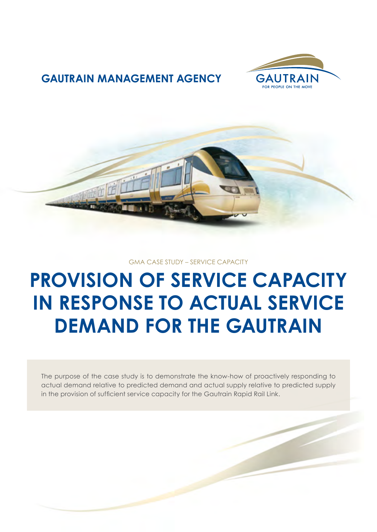

### **GAUTRAIN MANAGEMENT AGENCY**



#### GMA CASE STUDY – SERVICE CAPACITY

# **PROVISION OF SERVICE CAPACITY IN RESPONSE TO ACTUAL SERVICE DEMAND FOR THE GAUTRAIN**

The purpose of the case study is to demonstrate the know-how of proactively responding to actual demand relative to predicted demand and actual supply relative to predicted supply in the provision of sufficient service capacity for the Gautrain Rapid Rail Link.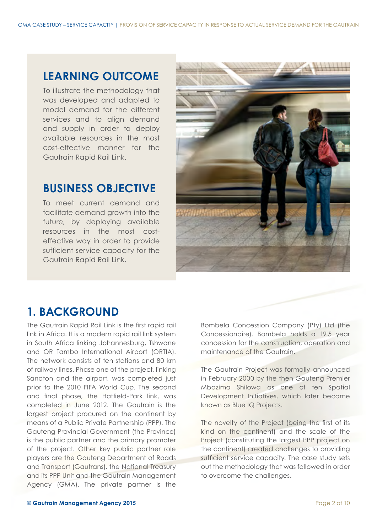### **LEARNING OUTCOME**

To illustrate the methodology that was developed and adapted to model demand for the different services and to align demand and supply in order to deploy available resources in the most cost-effective manner for the Gautrain Rapid Rail Link.

### **BUSINESS OBJECTIVE**

To meet current demand and facilitate demand growth into the future, by deploying available resources in the most costeffective way in order to provide sufficient service capacity for the Gautrain Rapid Rail Link.



### **1. BACKGROUND**

The Gautrain Rapid Rail Link is the first rapid rail link in Africa. It is a modern rapid rail link system in South Africa linking Johannesburg, Tshwane and OR Tambo International Airport (ORTIA). The network consists of ten stations and 80 km of railway lines. Phase one of the project, linking Sandton and the airport, was completed just prior to the 2010 FIFA World Cup. The second and final phase, the Hatfield-Park link, was completed in June 2012. The Gautrain is the largest project procured on the continent by means of a Public Private Partnership (PPP). The Gauteng Provincial Government (the Province) is the public partner and the primary promoter of the project. Other key public partner role players are the Gauteng Department of Roads and Transport (Gautrans), the National Treasury and its PPP Unit and the Gautrain Management Agency (GMA). The private partner is the

Bombela Concession Company (Pty) Ltd (the Concessionaire). Bombela holds a 19.5 year concession for the construction, operation and maintenance of the Gautrain.

The Gautrain Project was formally announced in February 2000 by the then Gauteng Premier Mbazima Shilowa as one of ten Spatial Development Initiatives, which later became known as Blue IQ Projects.

The novelty of the Project (being the first of its kind on the continent) and the scale of the Project (constituting the largest PPP project on the continent) created challenges to providing sufficient service capacity. The case study sets out the methodology that was followed in order to overcome the challenges.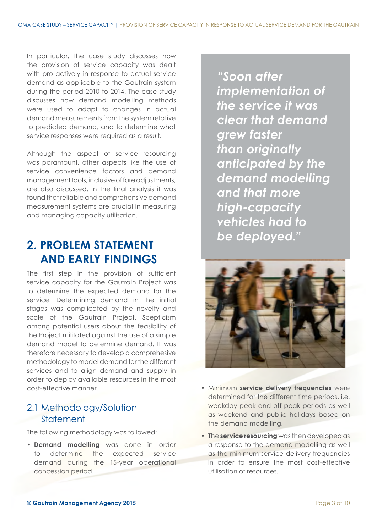In particular, the case study discusses how the provision of service capacity was dealt with pro-actively in response to actual service demand as applicable to the Gautrain system during the period 2010 to 2014. The case study discusses how demand modelling methods were used to adapt to changes in actual demand measurements from the system relative to predicted demand, and to determine what service responses were required as a result.

Although the aspect of service resourcing was paramount, other aspects like the use of service convenience factors and demand management tools, inclusive of fare adjustments, are also discussed. In the final analysis it was found that reliable and comprehensive demand measurement systems are crucial in measuring and managing capacity utilisation.

# **2. PROBLEM STATEMENT AND EARLY FINDINGS**

The first step in the provision of sufficient service capacity for the Gautrain Project was to determine the expected demand for the service. Determining demand in the initial stages was complicated by the novelty and scale of the Gautrain Project. Scepticism among potential users about the feasibility of the Project militated against the use of a simple demand model to determine demand. It was therefore necessary to develop a comprehesive methodology to model demand for the different services and to align demand and supply in order to deploy available resources in the most cost-effective manner.

### 2.1 Methodology/Solution **Statement**

The following methodology was followed:

**• Demand modelling** was done in order to determine the expected service demand during the 15-year operational concession period.

*"Soon after implementation of the service it was clear that demand grew faster than originally anticipated by the demand modelling and that more high-capacity vehicles had to be deployed."*



- Minimum **service delivery frequencies** were determined for the different time periods, i.e. weekday peak and off-peak periods as well as weekend and public holidays based on the demand modelling.
- The **service resourcing** was then developed as a response to the demand modelling as well as the minimum service delivery frequencies in order to ensure the most cost-effective utilisation of resources.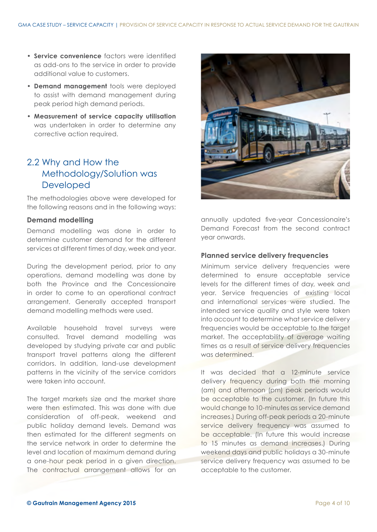- **• Service convenience** factors were identified as add-ons to the service in order to provide additional value to customers.
- **• Demand management** tools were deployed to assist with demand management during peak period high demand periods.
- **• Measurement of service capacity utilisation** was undertaken in order to determine any corrective action required.

### 2.2 Why and How the Methodology/Solution was Developed

The methodologies above were developed for the following reasons and in the following ways:

#### **Demand modelling**

Demand modelling was done in order to determine customer demand for the different services at different times of day, week and year.

During the development period, prior to any operations, demand modelling was done by both the Province and the Concessionaire in order to come to an operational contract arrangement. Generally accepted transport demand modelling methods were used.

Available household travel surveys were consulted. Travel demand modelling was developed by studying private car and public transport travel patterns along the different corridors. In addition, land-use development patterns in the vicinity of the service corridors were taken into account.

The target markets size and the market share were then estimated. This was done with due consideration of off-peak, weekend and public holiday demand levels. Demand was then estimated for the different segments on the service network in order to determine the level and location of maximum demand during a one-hour peak period in a given direction. The contractual arrangement allows for an



annually updated five-year Concessionaire's Demand Forecast from the second contract year onwards.

#### **Planned service delivery frequencies**

Minimum service delivery frequencies were determined to ensure acceptable service levels for the different times of day, week and year. Service frequencies of existing local and international services were studied. The intended service quality and style were taken into account to determine what service delivery frequencies would be acceptable to the target market. The acceptability of average waiting times as a result of service delivery frequencies was determined.

It was decided that a 12-minute service delivery frequency during both the morning (am) and afternoon (pm) peak periods would be acceptable to the customer. (In future this would change to 10-minutes as service demand increases.) During off-peak periods a 20-minute service delivery frequency was assumed to be acceptable. (In future this would increase to 15 minutes as demand increases.) During weekend days and public holidays a 30-minute service delivery frequency was assumed to be acceptable to the customer.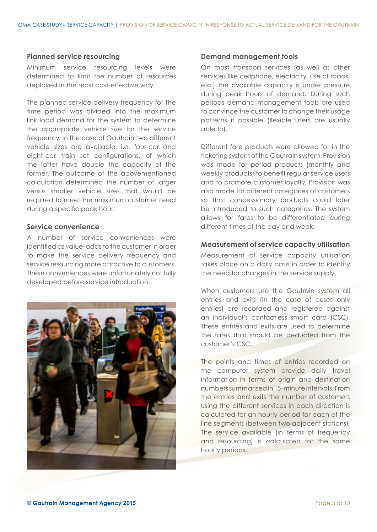#### **Planned service resourcing**

Minimum service resourcing levels were determined to limit the number of resources deployed in the most cost-effective way.

The planned service delivery frequency for the time period was divided into the maximum link load demand for the system to determine the appropriate vehicle size for the service frequency. In the case of Gautrain two different vehicle sizes are available, i.e. four-car and eight-car train set configurations, of which the latter have double the capacity of the former. The outcome of the abovementioned calculation determined the number of larger versus smaller vehicle sizes that would be required to meet the maximum customer need during a specific peak hour.

#### **Service convenience**

A number of service conveniences were identified as value-adds to the customer in order to make the service delivery frequency and service resourcing more attractive to customers. These conveniences were unfortunately not fully developed before service introduction.



#### **Demand management tools**

On most transport services (as well as other services like cellphone, electricity, use of roads, etc.) the available capacity is under pressure during peak hours of demand. During such periods demand management tools are used to convince the customer to change their usage patterns if possible (flexible users are usually able to).

Different fare products were allowed for in the ticketing system of the Gautrain system. Provision was made for period products (monthly and weekly products) to benefit regular service users and to promote customer loyalty. Provision was also made for different categories of customers so that concessionary products could later be introduced to such categories. The system allows for fares to be differentiated during different times of the day and week.

#### **Measurement of service capacity utilisation**

Measurement of service capacity utilisation takes place on a daily basis in order to identify the need for changes in the service supply.

When customers use the Gautrain system all entries and exits (in the case of buses only entries) are recorded and registered against an individual's contactless smart card (CSC). These entries and exits are used to determine the fares that should be deducted from the customer's CSC.

The points and times of entries recorded on the computer system provide daily travel information in terms of origin and destination numbers summarised in 15-minute intervals. From the entries and exits the number of customers using the different services in each direction is calculated for an hourly period for each of the line segments (between two adjacent stations). The service available (in terms of frequency and resourcing) is calculated for the same hourly periods.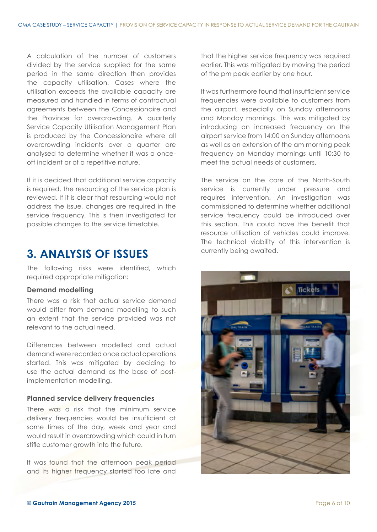A calculation of the number of customers divided by the service supplied for the same period in the same direction then provides the capacity utilisation. Cases where the utilisation exceeds the available capacity are measured and handled in terms of contractual agreements between the Concessionaire and the Province for overcrowding. A quarterly Service Capacity Utilisation Management Plan is produced by the Concessionaire where all overcrowding incidents over a quarter are analysed to determine whether it was a onceoff incident or of a repetitive nature.

If it is decided that additional service capacity is required, the resourcing of the service plan is reviewed. If it is clear that resourcing would not address the issue, changes are required in the service frequency. This is then investigated for possible changes to the service timetable.

### **3. ANALYSIS OF ISSUES**

The following risks were identified, which required appropriate mitigation:

#### **Demand modelling**

There was a risk that actual service demand would differ from demand modelling to such an extent that the service provided was not relevant to the actual need.

Differences between modelled and actual demand were recorded once actual operations started. This was mitigated by deciding to use the actual demand as the base of postimplementation modelling.

#### **Planned service delivery frequencies**

There was a risk that the minimum service delivery frequencies would be insufficient at some times of the day, week and year and would result in overcrowding which could in turn stifle customer growth into the future.

It was found that the afternoon peak period and its higher frequency started too late and that the higher service frequency was required earlier. This was mitigated by moving the period of the pm peak earlier by one hour.

It was furthermore found that insufficient service frequencies were available to customers from the airport, especially on Sunday afternoons and Monday mornings. This was mitigated by introducing an increased frequency on the airport service from 14:00 on Sunday afternoons as well as an extension of the am morning peak frequency on Monday mornings until 10:30 to meet the actual needs of customers.

The service on the core of the North-South service is currently under pressure and requires intervention. An investigation was commissioned to determine whether additional service frequency could be introduced over this section. This could have the benefit that resource utilisation of vehicles could improve. The technical viability of this intervention is currently being awaited.

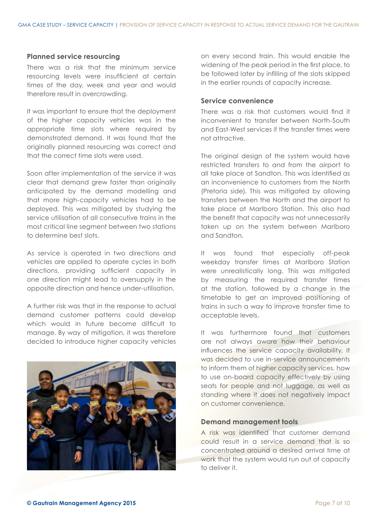#### **Planned service resourcing**

There was a risk that the minimum service resourcing levels were insufficient at certain times of the day, week and year and would therefore result in overcrowding.

It was important to ensure that the deployment of the higher capacity vehicles was in the appropriate time slots where required by demonstrated demand. It was found that the originally planned resourcing was correct and that the correct time slots were used.

Soon after implementation of the service it was clear that demand grew faster than originally anticipated by the demand modelling and that more high-capacity vehicles had to be deployed. This was mitigated by studying the service utilisation of all consecutive trains in the most critical line segment between two stations to determine best slots.

As service is operated in two directions and vehicles are applied to operate cycles in both directions, providing sufficient capacity in one direction might lead to oversupply in the opposite direction and hence under-utilisation.

A further risk was that in the response to actual demand customer patterns could develop which would in future become difficult to manage. By way of mitigation, it was therefore decided to introduce higher capacity vehicles



on every second train. This would enable the widening of the peak period in the first place, to be followed later by infilling of the slots skipped in the earlier rounds of capacity increase.

#### **Service convenience**

There was a risk that customers would find it inconvenient to transfer between North-South and East-West services if the transfer times were not attractive.

The original design of the system would have restricted transfers to and from the airport to all take place at Sandton. This was identified as an inconvenience to customers from the North (Pretoria side). This was mitigated by allowing transfers between the North and the airport to take place at Marlboro Station. This also had the benefit that capacity was not unnecessarily taken up on the system between Marlboro and Sandton.

It was found that especially off-peak weekday transfer times at Marlboro Station were unrealistically long. This was mitigated by measuring the required transfer times at the station, followed by a change in the timetable to get an improved positioning of trains in such a way to improve transfer time to acceptable levels.

It was furthermore found that customers are not always aware how their behaviour influences the service capacity availability. It was decided to use in-service announcements to inform them of higher capacity services, how to use on-board capacity effectively by using seats for people and not luggage, as well as standing where it does not negatively impact on customer convenience.

#### **Demand management tools**

A risk was identified that customer demand could result in a service demand that is so concentrated around a desired arrival time at work that the system would run out of capacity to deliver it.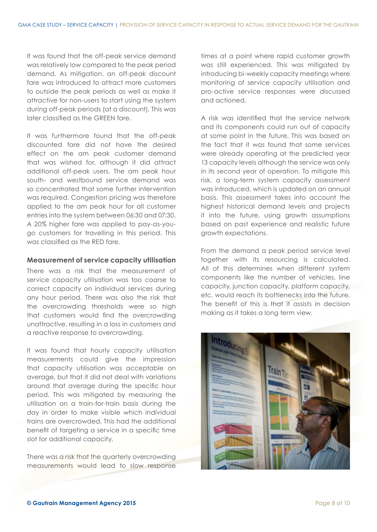It was found that the off-peak service demand was relatively low compared to the peak period demand. As mitigation, an off-peak discount fare was introduced to attract more customers to outside the peak periods as well as make it attractive for non-users to start using the system during off-peak periods (at a discount). This was later classified as the GREEN fare.

It was furthermore found that the off-peak discounted fare did not have the desired effect on the am peak customer demand that was wished for, although it did attract additional off-peak users. The am peak hour south- and westbound service demand was so concentrated that some further intervention was required. Congestion pricing was therefore applied to the am peak hour for all customer entries into the system between 06:30 and 07:30. A 20% higher fare was applied to pay-as-yougo customers for travelling in this period. This was classified as the RED fare.

#### **Measurement of service capacity utilisation**

There was a risk that the measurement of service capacity utilisation was too coarse to correct capacity on individual services during any hour period. There was also the risk that the overcrowding thresholds were so high that customers would find the overcrowding unattractive, resulting in a loss in customers and a reactive response to overcrowding.

It was found that hourly capacity utilisation measurements could give the impression that capacity utilisation was acceptable on average, but that it did not deal with variations around that average during the specific hour period. This was mitigated by measuring the utilisation on a train-for-train basis during the day in order to make visible which individual trains are overcrowded. This had the additional benefit of targeting a service in a specific time slot for additional capacity.

There was a risk that the quarterly overcrowding measurements would lead to slow response times at a point where rapid customer growth was still experienced. This was mitigated by introducing bi-weekly capacity meetings where monitoring of service capacity utilisation and pro-active service responses were discussed and actioned.

A risk was identified that the service network and its components could run out of capacity at some point in the future. This was based on the fact that it was found that some services were already operating at the predicted year 13 capacity levels although the service was only in its second year of operation. To mitigate this risk, a long-term system capacity assessment was introduced, which is updated on an annual basis. This assessment takes into account the highest historical demand levels and projects it into the future, using growth assumptions based on past experience and realistic future growth expectations.

From the demand a peak period service level together with its resourcing is calculated. All of this determines when different system components like the number of vehicles, line capacity, junction capacity, platform capacity, etc. would reach its bottlenecks into the future. The benefit of this is that it assists in decision making as it takes a long term view.

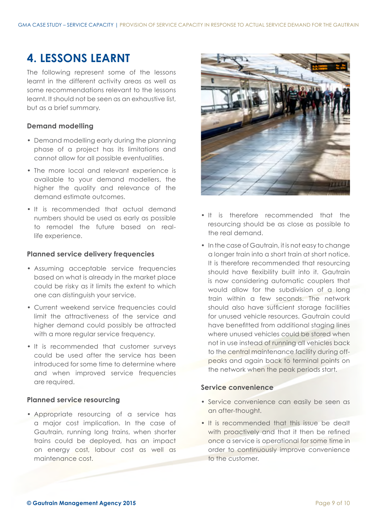# **4. LESSONS LEARNT**

The following represent some of the lessons learnt in the different activity areas as well as some recommendations relevant to the lessons learnt. It should not be seen as an exhaustive list, but as a brief summary.

#### **Demand modelling**

- Demand modelling early during the planning phase of a project has its limitations and cannot allow for all possible eventualities.
- The more local and relevant experience is available to your demand modellers, the higher the quality and relevance of the demand estimate outcomes.
- It is recommended that actual demand numbers should be used as early as possible to remodel the future based on reallife experience.

#### **Planned service delivery frequencies**

- Assuming acceptable service frequencies based on what is already in the market place could be risky as it limits the extent to which one can distinguish your service.
- Current weekend service frequencies could limit the attractiveness of the service and higher demand could possibly be attracted with a more regular service frequency.
- It is recommended that customer surveys could be used after the service has been introduced for some time to determine where and when improved service frequencies are required.

#### **Planned service resourcing**

• Appropriate resourcing of a service has a major cost implication. In the case of Gautrain, running long trains, when shorter trains could be deployed, has an impact on energy cost, labour cost as well as maintenance cost.



- It is therefore recommended that the resourcing should be as close as possible to the real demand.
- In the case of Gautrain, it is not easy to change a longer train into a short train at short notice. It is therefore recommended that resourcing should have flexibility built into it. Gautrain is now considering automatic couplers that would allow for the subdivision of a long train within a few seconds. The network should also have sufficient storage facilities for unused vehicle resources. Gautrain could have benefitted from additional staging lines where unused vehicles could be stored when not in use instead of running all vehicles back to the central maintenance facility during offpeaks and again back to terminal points on the network when the peak periods start.

#### **Service convenience**

- Service convenience can easily be seen as an after-thought.
- It is recommended that this issue be dealt with proactively and that it then be refined once a service is operational for some time in order to continuously improve convenience to the customer.